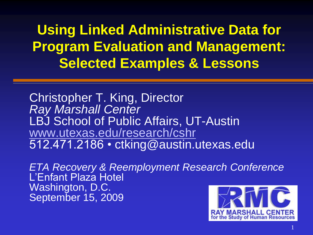#### **Selected Examples & Lessons Using Linked Administrative Data for Program Evaluation and Management:**

Christopher T. King, Director *Ray Marshall Center*  LBJ School of Public Affairs, UT-Austin [www.utexas.edu/research/cshr](http://www.utexas.edu/research/cshr)  512.471.2186 • [ctking@austin.utexas.edu](mailto:ctking@austin.utexas.edu) 

*ETA Recovery & Reemployment Research Conference* L'Enfant Plaza Hotel Washington, D.C. September 15, 2009

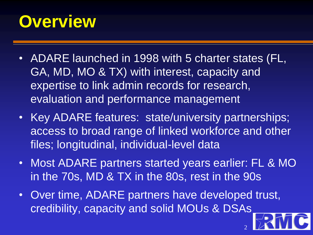### **Overview**

- ADARE launched in 1998 with 5 charter states (FL, GA, MD, MO & TX) with interest, capacity and expertise to link admin records for research, evaluation and performance management
- Key ADARE features: state/university partnerships; access to broad range of linked workforce and other files; longitudinal, individual-level data
- Most ADARE partners started years earlier: FL & MO in the 70s, MD & TX in the 80s, rest in the 90s

2

• Over time, ADARE partners have developed trust, credibility, capacity and solid MOUs & DSAs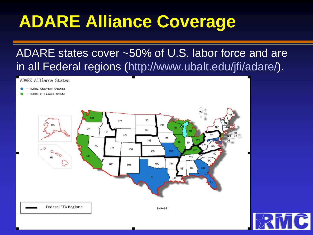# **ADARE Alliance Coverage**

#### ADARE states cover ~50% of U.S. labor force and are in all Federal regions [\(http://www.ubalt.edu/jfi/adare/\)](http://www.ubalt.edu/jfi/adare/).

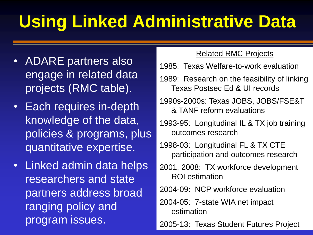# **Using Linked Administrative Data**

- ADARE partners also engage in related data projects (RMC table).
- Each requires in-depth knowledge of the data, policies & programs, plus quantitative expertise.
- Linked admin data helps researchers and state partners address broad ranging policy and program issues.

#### Related RMC Projects

- 1985: Texas Welfare-to-work evaluation
- 1989: Research on the feasibility of linking Texas Postsec Ed & UI records
- 1990s-2000s: Texas JOBS, JOBS/FSE&T & TANF reform evaluations
- 1993-95: Longitudinal IL & TX job training outcomes research
- 1998-03: Longitudinal FL & TX CTE participation and outcomes research
- 2001, 2008: TX workforce development ROI estimation
- 2004-09: NCP workforce evaluation
- 2004-05: 7-state WIA net impact estimation
- 2005-13: Texas Student Futures Project 4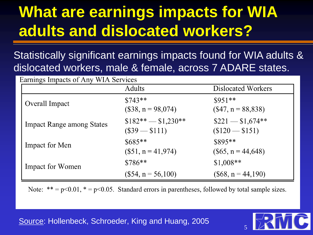### **What are earnings impacts for WIA adults and dislocated workers?**

Statistically significant earnings impacts found for WIA adults & dislocated workers, male & female, across 7 ADARE states.

|                                  | Adults                                | Dislocated Workers<br>$$951**$<br>$($47, n = 88,838)$ |  |
|----------------------------------|---------------------------------------|-------------------------------------------------------|--|
| Overall Impact                   | $$743**$<br>$($38, n = 98,074)$       |                                                       |  |
| <b>Impact Range among States</b> | $$182** - $1,230**$<br>$($39 - $111)$ | $\$221 - \$1,674**$<br>$($120 - $151)$                |  |
| Impact for Men                   | $$685**$<br>$($51, n = 41,974)$       | $$895**$<br>$($65, n = 44,648)$                       |  |
| <b>Impact for Women</b>          | $$786**$                              | $$1,008**$                                            |  |
|                                  | $($54, n = 56,100)$                   | $($68, n = 44,190)$                                   |  |

Note: \*\* =  $p$ <0.01, \* =  $p$ <0.05. Standard errors in parentheses, followed by total sample sizes.

Source: Hollenbeck, Schroeder, King and Huang, 2005

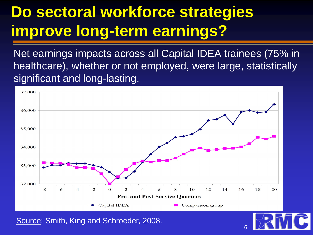### **Do sectoral workforce strategies improve long-term earnings?**

Net earnings impacts across all Capital IDEA trainees (75% in healthcare), whether or not employed, were large, statistically significant and long-lasting.



6

Source: Smith, King and Schroeder, 2008.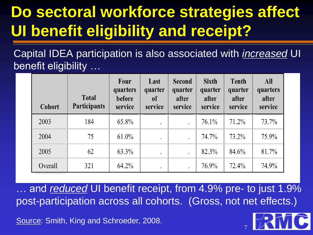## **Do sectoral workforce strategies affect UI benefit eligibility and receipt?**

Capital IDEA participation is also associated with *increased* UI benefit eligibility …

| <b>Cohort</b> | <b>Total</b><br><b>Participants</b> | Four<br>quarters<br>before<br>service | Last<br>quarter<br><sub>of</sub><br>service | <b>Second</b><br>quarter<br>after<br>service | <b>Sixth</b><br>quarter<br>after<br>service | <b>Tenth</b><br>quarter<br>after<br>service | <b>All</b><br>quarters<br>after<br>service |
|---------------|-------------------------------------|---------------------------------------|---------------------------------------------|----------------------------------------------|---------------------------------------------|---------------------------------------------|--------------------------------------------|
| 2003          | 184                                 | 65.8%                                 | $\bullet$                                   |                                              | 76.1%                                       | 71.2%                                       | 73.7%                                      |
| 2004          | 75                                  | $61.0\%$                              |                                             |                                              | 74.7%                                       | 73.2%                                       | 75.9%                                      |
| 2005          | 62                                  | 63.3%                                 | $\bullet$                                   | $\cdot$                                      | 82.3%                                       | 84.6%                                       | 81.7%                                      |
| Overall       | 321                                 | 64.2%                                 | $\bullet$                                   |                                              | 76.9%                                       | 72.4%                                       | 74.9%                                      |

and *reduced* UI benefit receipt, from 4.9% pre- to just 1.9% post-participation across all cohorts. (Gross, not net effects.)

Source: Smith, King and Schroeder, 2008.

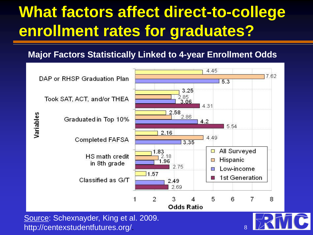### **What factors affect direct-to-college enrollment rates for graduates?**

#### **Major Factors Statistically Linked to 4-year Enrollment Odds**



http://centexstudentfutures.org/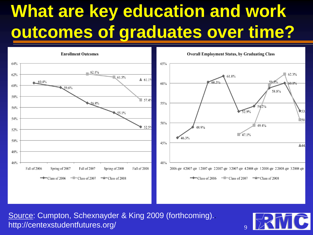# **What are key education and work outcomes of graduates over time?**



Source: Cumpton, Schexnayder & King 2009 (forthcoming).. http://centexstudentfutures.org/



l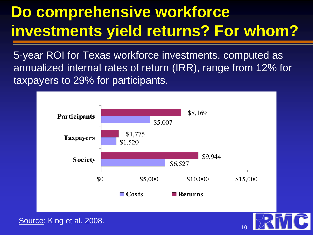## **Do comprehensive workforce investments yield returns? For whom?**

 annualized internal rates of return (IRR), range from 12% for 5-year ROI for Texas workforce investments, computed as taxpayers to 29% for participants.



Source: King et al. 2008.